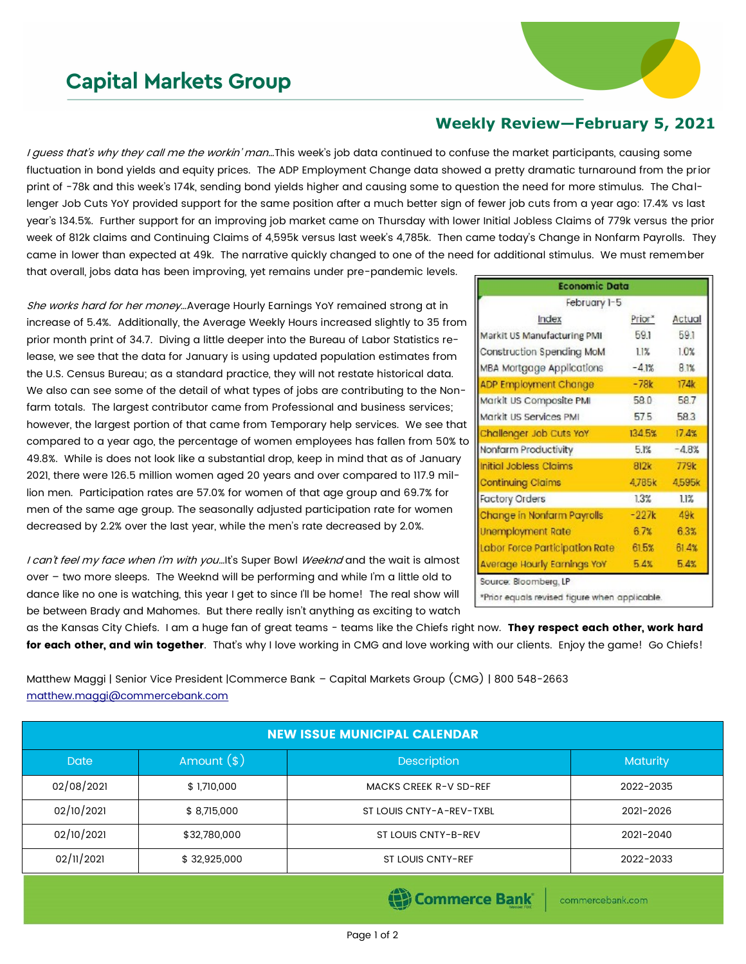## **Capital Markets Group**

## **Weekly Review—February 5, 2021**

I guess that's why they call me the workin' man...This week's job data continued to confuse the market participants, causing some fluctuation in bond yields and equity prices. The ADP Employment Change data showed a pretty dramatic turnaround from the prior print of -78k and this week's 174k, sending bond yields higher and causing some to question the need for more stimulus. The Challenger Job Cuts YoY provided support for the same position after a much better sign of fewer job cuts from a year ago: 17.4% vs last year's 134.5%. Further support for an improving job market came on Thursday with lower Initial Jobless Claims of 779k versus the prior week of 812k claims and Continuing Claims of 4,595k versus last week's 4,785k. Then came today's Change in Nonfarm Payrolls. They came in lower than expected at 49k. The narrative quickly changed to one of the need for additional stimulus. We must remember that overall, jobs data has been improving, yet remains under pre-pandemic levels.

She works hard for her money…Average Hourly Earnings YoY remained strong at in increase of 5.4%. Additionally, the Average Weekly Hours increased slightly to 35 from prior month print of 34.7. Diving a little deeper into the Bureau of Labor Statistics release, we see that the data for January is using updated population estimates from the U.S. Census Bureau; as a standard practice, they will not restate historical data. We also can see some of the detail of what types of jobs are contributing to the Nonfarm totals. The largest contributor came from Professional and business services; however, the largest portion of that came from Temporary help services. We see that compared to a year ago, the percentage of women employees has fallen from 50% to 49.8%. While is does not look like a substantial drop, keep in mind that as of January 2021, there were 126.5 million women aged 20 years and over compared to 117.9 million men. Participation rates are 57.0% for women of that age group and 69.7% for men of the same age group. The seasonally adjusted participation rate for women decreased by 2.2% over the last year, while the men's rate decreased by 2.0%.

I can't feel my face when I'm with you...It's Super Bowl Weeknd and the wait is almost over – two more sleeps. The Weeknd will be performing and while I'm a little old to dance like no one is watching, this year I get to since I'll be home! The real show will be between Brady and Mahomes. But there really isn't anything as exciting to watch

| <b>Economic Data</b>               |         |         |  |
|------------------------------------|---------|---------|--|
| February 1-5                       |         |         |  |
| Index                              | Prior*  | Actual  |  |
| Markit US Manufacturing PMI        | 591     | 59.1    |  |
| Construction Spending MoM          | 11%     | 1.0%    |  |
| MBA Mortgage Applications          | $-4.1%$ | 8.1%    |  |
| ADP Employment Change              | $-78k$  | 174k    |  |
| Markit US Composite PMI            | 58.0    | 58.7    |  |
| Markit US Services PMI             | 575     | 583     |  |
| Challenger Job Cuts YoY            | 134.5%  | 17.4%   |  |
| Nonfarm Productivity               | 5.1%    | $-4.8%$ |  |
| Initial Jobless Claims             | 812k    | 779k    |  |
| <b>Continuing Claims</b>           | 4,785k  | 4,595k  |  |
| <b>Factory Orders</b>              | 13%     | 11%     |  |
| Change in Nonfarm Payrolls         | $-227k$ | 49k     |  |
| Unemployment Rate                  | 67%     | 6.3%    |  |
| Labor Force Participation Rate     | 615%    | 61.4%   |  |
| <b>Average Hourly Earnings YoY</b> | 5.4%    | 5.4%    |  |

as the Kansas City Chiefs. I am a huge fan of great teams - teams like the Chiefs right now. They respect each other, work hard for each other, and win together. That's why I love working in CMG and love working with our clients. Enjoy the game! Go Chiefs!

Matthew Maggi | Senior Vice President |Commerce Bank – Capital Markets Group (CMG) | 800 548-2663 [matthew.maggi@commercebank.com](mailto:matthew.maggi@commercebank.com)

| <b>NEW ISSUE MUNICIPAL CALENDAR</b> |                                    |                               |           |  |  |  |
|-------------------------------------|------------------------------------|-------------------------------|-----------|--|--|--|
| <b>Date</b>                         | Amount $(*)$<br><b>Description</b> |                               | Maturity  |  |  |  |
| 02/08/2021                          | \$1,710,000                        | <b>MACKS CREEK R-V SD-REF</b> | 2022-2035 |  |  |  |
| 02/10/2021                          | \$8,715,000                        | ST LOUIS CNTY-A-REV-TXBL      | 2021-2026 |  |  |  |
| 02/10/2021                          | \$32,780,000                       | ST LOUIS CNTY-B-REV           | 2021-2040 |  |  |  |
| 02/11/2021                          | \$32,925,000                       | <b>ST LOUIS CNTY-REF</b>      | 2022-2033 |  |  |  |

(B) Commerce Bank

commercebank.com